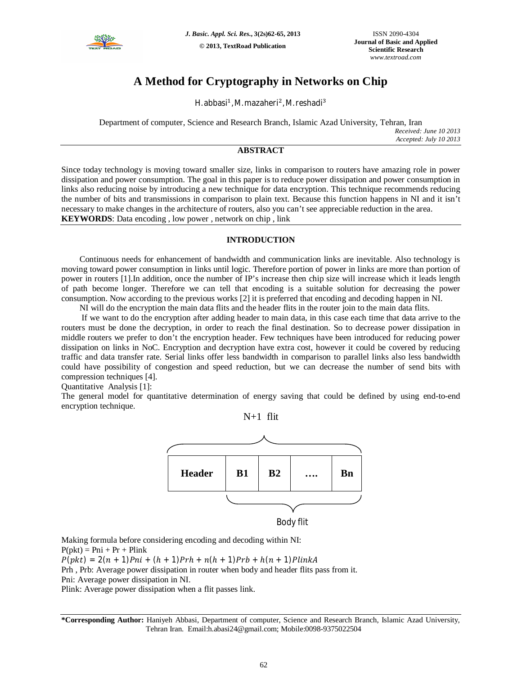

# **A Method for Cryptography in Networks on Chip**

H. abbasi<sup>1</sup>, M. mazaheri<sup>2</sup>, M. reshadi<sup>3</sup>

Department of computer, Science and Research Branch, Islamic Azad University, Tehran, Iran *Received: June 10 2013 Accepted: July 10 2013*

## **ABSTRACT**

Since today technology is moving toward smaller size, links in comparison to routers have amazing role in power dissipation and power consumption. The goal in this paper is to reduce power dissipation and power consumption in links also reducing noise by introducing a new technique for data encryption. This technique recommends reducing the number of bits and transmissions in comparison to plain text. Because this function happens in NI and it isn't necessary to make changes in the architecture of routers, also you can't see appreciable reduction in the area. **KEYWORDS**: Data encoding , low power , network on chip , link

### **INTRODUCTION**

Continuous needs for enhancement of bandwidth and communication links are inevitable. Also technology is moving toward power consumption in links until logic. Therefore portion of power in links are more than portion of power in routers [1].In addition, once the number of IP's increase then chip size will increase which it leads length of path become longer. Therefore we can tell that encoding is a suitable solution for decreasing the power consumption. Now according to the previous works [2] it is preferred that encoding and decoding happen in NI.

NI will do the encryption the main data flits and the header flits in the router join to the main data flits.

If we want to do the encryption after adding header to main data, in this case each time that data arrive to the routers must be done the decryption, in order to reach the final destination. So to decrease power dissipation in middle routers we prefer to don't the encryption header. Few techniques have been introduced for reducing power dissipation on links in NoC. Encryption and decryption have extra cost, however it could be covered by reducing traffic and data transfer rate. Serial links offer less bandwidth in comparison to parallel links also less bandwidth could have possibility of congestion and speed reduction, but we can decrease the number of send bits with compression techniques [4].

Quantitative Analysis [1]:

The general model for quantitative determination of energy saving that could be defined by using end-to-end encryption technique.



Making formula before considering encoding and decoding within NI:  $P(\text{pkt}) = P\text{ni} + Pr + Pl\text{ink}$ 

 $P(pkt) = 2(n + 1)Pni + (h + 1)Prh + n(h + 1)Prb + h(n + 1)PlinkA$ 

Prh , Prb: Average power dissipation in router when body and header flits pass from it. Pni: Average power dissipation in NI.

Plink: Average power dissipation when a flit passes link.

**\*Corresponding Author:** Haniyeh Abbasi, Department of computer, Science and Research Branch, Islamic Azad University, Tehran Iran. Email:h.abasi24@gmail.com; Mobile:0098-9375022504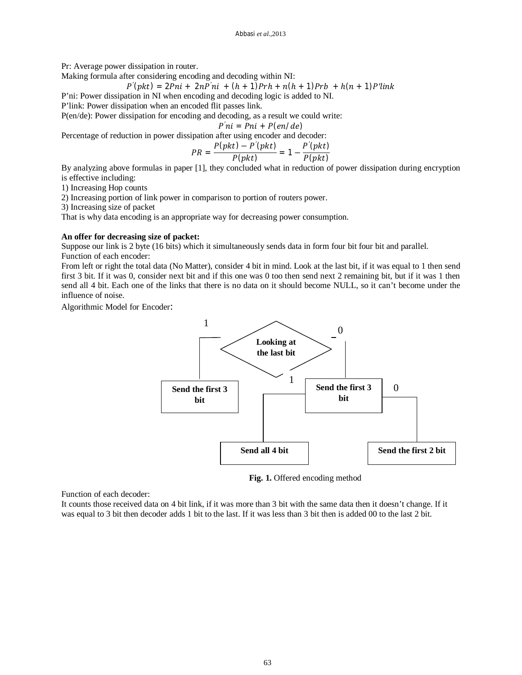Pr: Average power dissipation in router.

Making formula after considering encoding and decoding within NI:

$$
P'(pkt) = 2Pni + 2nP'ni + (h + 1)Prh + n(h + 1)Prb + h(n + 1)P'link
$$

P'ni: Power dissipation in NI when encoding and decoding logic is added to NI.

P'link: Power dissipation when an encoded flit passes link.

P(en/de): Power dissipation for encoding and decoding, as a result we could write:

*P'ni* = *Pni* + *P*(*en*/*de*)

Percentage of reduction in power dissipation after using encoder and decoder:

$$
PR = \frac{P(pkt) - P'(plt)}{P(plt)} = 1 - \frac{P'(plt)}{P(plt)}
$$

By analyzing above formulas in paper [1], they concluded what in reduction of power dissipation during encryption is effective including:

1) Increasing Hop counts

2) Increasing portion of link power in comparison to portion of routers power.

3) Increasing size of packet

That is why data encoding is an appropriate way for decreasing power consumption.

#### **An offer for decreasing size of packet:**

Suppose our link is 2 byte (16 bits) which it simultaneously sends data in form four bit four bit and parallel. Function of each encoder:

From left or right the total data (No Matter), consider 4 bit in mind. Look at the last bit, if it was equal to 1 then send first 3 bit. If it was 0, consider next bit and if this one was 0 too then send next 2 remaining bit, but if it was 1 then send all 4 bit. Each one of the links that there is no data on it should become NULL, so it can't become under the influence of noise.

Algorithmic Model for Encoder:



**Fig. 1.** Offered encoding method

Function of each decoder:

It counts those received data on 4 bit link, if it was more than 3 bit with the same data then it doesn't change. If it was equal to 3 bit then decoder adds 1 bit to the last. If it was less than 3 bit then is added 00 to the last 2 bit.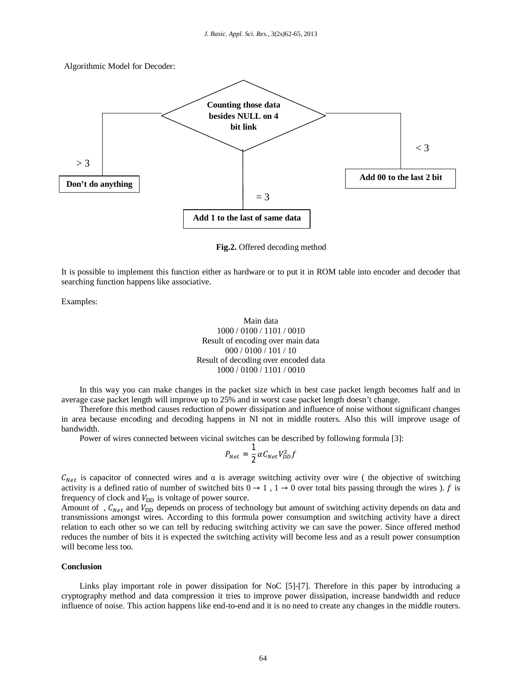

**Fig.2.** Offered decoding method

It is possible to implement this function either as hardware or to put it in ROM table into encoder and decoder that searching function happens like associative.

Examples:

Main data 1000 / 0100 / 1101 / 0010 Result of encoding over main data 000 / 0100 / 101 / 10 Result of decoding over encoded data 1000 / 0100 / 1101 / 0010

In this way you can make changes in the packet size which in best case packet length becomes half and in average case packet length will improve up to 25% and in worst case packet length doesn't change.

Therefore this method causes reduction of power dissipation and influence of noise without significant changes in area because encoding and decoding happens in NI not in middle routers. Also this will improve usage of bandwidth.

Power of wires connected between vicinal switches can be described by following formula [3]:

$$
P_{Net} = \frac{1}{2} \alpha C_{Net} V_{DD}^2 f
$$

 $C_{Net}$  is capacitor of connected wires and  $\alpha$  is average switching activity over wire ( the objective of switching activity is a defined ratio of number of switched bits  $0 \rightarrow 1$ ,  $1 \rightarrow 0$  over total bits passing through the wires ). f is frequency of clock and  $V_{\text{DD}}$  is voltage of power source.

Amount of,  $C_{Net}$  and  $V_{DD}$  depends on process of technology but amount of switching activity depends on data and transmissions amongst wires. According to this formula power consumption and switching activity have a direct relation to each other so we can tell by reducing switching activity we can save the power. Since offered method reduces the number of bits it is expected the switching activity will become less and as a result power consumption will become less too.

#### **Conclusion**

Links play important role in power dissipation for NoC [5]-[7]. Therefore in this paper by introducing a cryptography method and data compression it tries to improve power dissipation, increase bandwidth and reduce influence of noise. This action happens like end-to-end and it is no need to create any changes in the middle routers.